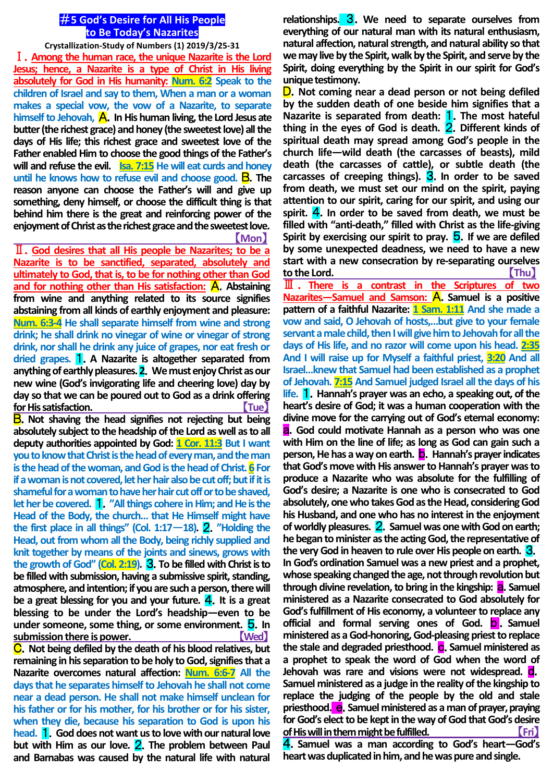## #**5 God's Desire for All His People to Be Today's Nazarites**

**Crystallization-Study of Numbers (1) 2019/3/25-31** Ⅰ.**Among the human race, the unique Nazarite is the Lord Jesus; hence, a Nazarite is a type of Christ in His living absolutely for God in His humanity: Num. 6:2 Speak to the children of Israel and say to them, When a man or a woman makes a special vow, the vow of a Nazarite, to separate**  himself to Jehovah, **A**. In His human living, the Lord Jesus ate **butter (the richest grace) and honey (the sweetest love) all the days of His life; this richest grace and sweetest love of the Father enabled Him to choose the good things of the Father's will and refuse the evil. Isa. 7:15 He will eat curds and honey until he knows how to refuse evil and choose good. <b>B**. The **reason anyone can choose the Father's will and give up something, deny himself, or choose the difficult thing is that behind him there is the great and reinforcing power of the enjoyment of Christ as the richest grace and the sweetest love.** 【**Mon**】

Ⅱ.**God desires that all His people be Nazarites; to be a Nazarite is to be sanctified, separated, absolutely and ultimately to God, that is, to be for nothing other than God**  and for nothing other than His satisfaction: **A**. Abstaining **from wine and anything related to its source signifies abstaining from all kinds of earthly enjoyment and pleasure: Num. 6:3-4 He shall separate himself from wine and strong drink; he shall drink no vinegar of wine or vinegar of strong drink, nor shall he drink any juice of grapes, nor eat fresh or dried grapes.** 1.**A Nazarite is altogether separated from anything of earthly pleasures. 2**.**We must enjoy Christ as our new wine (God's invigorating life and cheering love) day by day so that we can be poured out to God as a drink offering for His satisfaction.** 【**Tue**】

B.**Not shaving the head signifies not rejecting but being absolutely subject to the headship of the Lord as well as to all deputy authorities appointed by God: 1 Cor. 11:3 But I want you to know that Christ is the head of every man, and the man is the head of the woman, and God is the head of Christ. 6 For if a woman is not covered, let her hair also be cut off; but if it is shameful for a woman to have her hair cut off or to be shaved, let her be covered.** 1.**"All things cohere in Him; and He is the Head of the Body, the church… that He Himself might have**  the first place in all things" (Col.  $1:17-18$ ). **2.** "Holding the **Head, out from whom all the Body, being richly supplied and knit together by means of the joints and sinews, grows with the growth of God" (Col. 2:19).** 3.**To be filled with Christ is to be filled with submission, having a submissive spirit, standing, atmosphere, and intention; if you are such a person, there will be a great blessing for you and your future.** 4.**It is a great blessing to be under the Lord's headship—even to be under someone, some thing, or some environment.** 5.**In submission there is power.** 【**Wed**】 C.**Not being defiled by the death of his blood relatives, but** 

**remaining in his separation to be holy to God, signifies that a Nazarite overcomes natural affection: Num. 6:6-7 All the days that he separates himself to Jehovah he shall not come near a dead person. He shall not make himself unclean for his father or for his mother, for his brother or for his sister, when they die, because his separation to God is upon his head.** 1.**God does not want us to love with our natural love but with Him as our love.** 2.**The problem between Paul and Barnabas was caused by the natural life with natural** 

**relationships.** 3.**We need to separate ourselves from everything of our natural man with its natural enthusiasm, natural affection, natural strength, and natural ability so that we may live by the Spirit, walk by the Spirit, and serve by the Spirit, doing everything by the Spirit in our spirit for God's unique testimony.**

D.**Not coming near a dead person or not being defiled by the sudden death of one beside him signifies that a Nazarite is separated from death:** 1.**The most hateful thing in the eyes of God is death.** 2.**Different kinds of spiritual death may spread among God's people in the church life—wild death (the carcasses of beasts), mild death (the carcasses of cattle), or subtle death (the**  carcasses of creeping things). 3. In order to be saved **from death, we must set our mind on the spirit, paying attention to our spirit, caring for our spirit, and using our spirit.** 4.**In order to be saved from death, we must be filled with "anti-death," filled with Christ as the life-giving Spirit by exercising our spirit to pray.** 5.**If we are defiled by some unexpected deadness, we need to have a new start with a new consecration by re-separating ourselves to the Lord.** 【**Thu**】

Ⅲ . **There is a contrast in the Scriptures of two Nazarites—Samuel and Samson:** A.**Samuel is a positive pattern of a faithful Nazarite: 1 Sam. 1:11 And she made a vow and said, O Jehovah of hosts,…but give to your female servant a male child, then I will give him to Jehovah for all the days of His life, and no razor will come upon his head. 2:35 And I will raise up for Myself a faithful priest, 3:20 And all Israel…knew that Samuel had been established as a prophet of Jehovah. 7:15 And Samuel judged Israel all the days of his life.** 1.**Hannah's prayer was an echo, a speaking out, of the heart's desire of God; it was a human cooperation with the divine move for the carrying out of God's eternal economy:**  a.**God could motivate Hannah as a person who was one with Him on the line of life; as long as God can gain such a person, He has a way on earth.** b.**Hannah's prayer indicates that God's move with His answer to Hannah's prayer was to produce a Nazarite who was absolute for the fulfilling of God's desire; a Nazarite is one who is consecrated to God absolutely, one who takes God as the Head, considering God his Husband, and one who has no interest in the enjoyment of worldly pleasures.** 2.**Samuel was one with God on earth; he began to minister as the acting God, the representative of the very God in heaven to rule over His people on earth.** 3.

**In God's ordination Samuel was a new priest and a prophet, whose speaking changed the age, not through revolution but through divine revelation, to bring in the kingship: <b>a.** Samuel **ministered as a Nazarite consecrated to God absolutely for God's fulfillment of His economy, a volunteer to replace any official and formal serving ones of God.** b .**Samuel ministered as a God-honoring, God-pleasing priest to replace the stale and degraded priesthood.** c.**Samuel ministered as a prophet to speak the word of God when the word of Jehovah was rare and visions were not widespread.** d. **Samuel ministered as a judge in the reality of the kingship to replace the judging of the people by the old and stale priesthood.** e.**Samuel ministered as a man of prayer, praying for God's elect to be kept in the way of God that God's desire of His will in them might be fulfilled.** 【**Fri**】

4.**Samuel was a man according to God's heart—God's heart was duplicated in him, and he was pure and single.**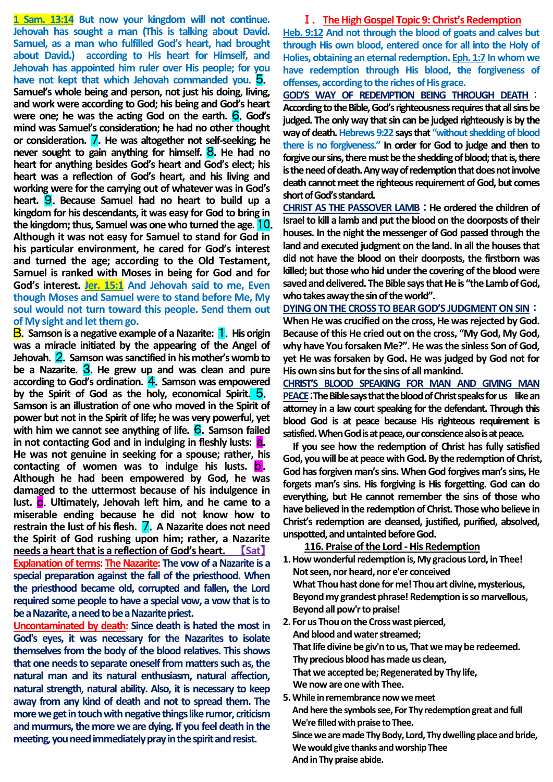**1 Sam. 13:14 But now your kingdom will not continue. Jehovah has sought a man (This is talking about David. Samuel, as a man who fulfilled God's heart, had brought about David.) according to His heart for Himself, and Jehovah has appointed him ruler over His people; for you have not kept that which Jehovah commanded you.** 5. **Samuel's whole being and person, not just his doing, living, and work were according to God; his being and God's heart were one; he was the acting God on the earth.** 6.**God's mind was Samuel's consideration; he had no other thought or consideration.** 7.**He was altogether not self-seeking; he never sought to gain anything for himself.** 8.**He had no heart for anything besides God's heart and God's elect; his heart was a reflection of God's heart, and his living and working were for the carrying out of whatever was in God's heart.** 9.**Because Samuel had no heart to build up a kingdom for his descendants, it was easy for God to bring in the kingdom; thus, Samuel was one who turned the age.** 10. **Although it was not easy for Samuel to stand for God in his particular environment, he cared for God's interest and turned the age; according to the Old Testament, Samuel is ranked with Moses in being for God and for God's interest. Jer. 15:1 And Jehovah said to me, Even though Moses and Samuel were to stand before Me, My soul would not turn toward this people. Send them out of My sight and let them go.**

**B.** Samson is a negative example of a Nazarite: **1**. His origin **was a miracle initiated by the appearing of the Angel of Jehovah.** 2.**Samson was sanctified in his mother's womb to be a Nazarite.** 3.**He grew up and was clean and pure according to God's ordination.** 4.**Samson was empowered by the Spirit of God as the holy, economical Spirit.** 5. **Samson is an illustration of one who moved in the Spirit of power but not in the Spirit of life; he was very powerful, yet**  with him we cannot see anything of life. 6. Samson failed **in not contacting God and in indulging in fleshly lusts:** a. **He was not genuine in seeking for a spouse; rather, his contacting of women was to indulge his lusts.** b. **Although he had been empowered by God, he was damaged to the uttermost because of his indulgence in lust.** c.**Ultimately, Jehovah left him, and he came to a miserable ending because he did not know how to restrain the lust of his flesh.** 7.**A Nazarite does not need the Spirit of God rushing upon him; rather, a Nazarite needs a heart that is a reflection of God's heart.** 【**Sat**】 **Explanation of terms: The Nazarite: The vow of a Nazarite is a special preparation against the fall of the priesthood. When the priesthood became old, corrupted and fallen, the Lord required some people to have a special vow, a vow that is to be a Nazarite, a need to be a Nazarite priest.**

**Uncontaminated by death: Since death is hated the most in God's eyes, it was necessary for the Nazarites to isolate themselves from the body of the blood relatives. This shows that one needs to separate oneself from matters such as, the natural man and its natural enthusiasm, natural affection, natural strength, natural ability. Also, it is necessary to keep away from any kind of death and not to spread them. The more we get in touch with negative things like rumor, criticism and murmurs, the more we are dying. If you feel death in the meeting, you need immediately pray in the spirit and resist.**

#### Ⅰ.**The High Gospel Topic 9: Christ's Redemption**

**Heb. 9:12 And not through the blood of goats and calves but through His own blood, entered once for all into the Holy of Holies, obtaining an eternal redemption. Eph. 1:7 In whom we have redemption through His blood, the forgiveness of offenses, according to the riches of His grace.**

**GOD'S WAY OF REDEMPTION BEING THROUGH DEATH**: **According to the Bible, God's righteousness requires that all sins be judged. The only way that sin can be judged righteously is by the way of death. Hebrews 9:22 says that "without shedding of blood there is no forgiveness." In order for God to judge and then to forgive our sins, there must be the shedding of blood; that is, there is the need of death. Any way of redemption that does not involve death cannot meet the righteous requirement of God, but comes short of God's standard.**

**CHRIST AS THE PASSOVER LAMB**:**He ordered the children of Israel to kill a lamb and put the blood on the doorposts of their houses. In the night the messenger of God passed through the land and executed judgment on the land. In all the houses that did not have the blood on their doorposts, the firstborn was killed; but those who hid under the covering of the blood were saved and delivered. The Bible says that He is "the Lamb of God, who takes away the sin of the world".**

**DYING ON THE CROSS TO BEAR GOD'S JUDGMENT ON SIN**: **When He was crucified on the cross, He was rejected by God. Because of this He cried out on the cross, "My God, My God, why have You forsaken Me?". He was the sinless Son of God, yet He was forsaken by God. He was judged by God not for His own sins but for the sins of all mankind.**

**CHRIST'S BLOOD SPEAKING FOR MAN AND GIVING MAN PEACE**:**The Bible says that the blood of Christ speaks for us like an attorney in a law court speaking for the defendant. Through this blood God is at peace because His righteous requirement is satisfied. When God is at peace, our conscience also is at peace.**

**If you see how the redemption of Christ has fully satisfied God, you will be at peace with God. By the redemption of Christ, God has forgiven man's sins. When God forgives man's sins, He forgets man's sins. His forgiving is His forgetting. God can do everything, but He cannot remember the sins of those who have believed in the redemption of Christ. Those who believe in Christ's redemption are cleansed, justified, purified, absolved, unspotted, and untainted before God.**

## **116. Praise of the Lord -His Redemption**

- **1. How wonderful redemption is, My gracious Lord, in Thee! Not seen, nor heard, nor e'er conceived What Thou hast done for me! Thou art divine, mysterious, Beyond my grandest phrase! Redemption is so marvellous, Beyond all pow'r to praise!**
- **2. For us Thou on the Cross wast pierced, And blood and water streamed; That life divine be giv'n to us, That we may be redeemed. Thy precious blood has made us clean, That we accepted be; Regenerated by Thy life, We now are one with Thee.**
- **5. While in remembrance now we meet And here the symbols see, For Thy redemption great and full We're filled with praise to Thee. Since we are made Thy Body, Lord, Thy dwelling place and bride,**

**We would give thanks and worship Thee And in Thy praise abide.**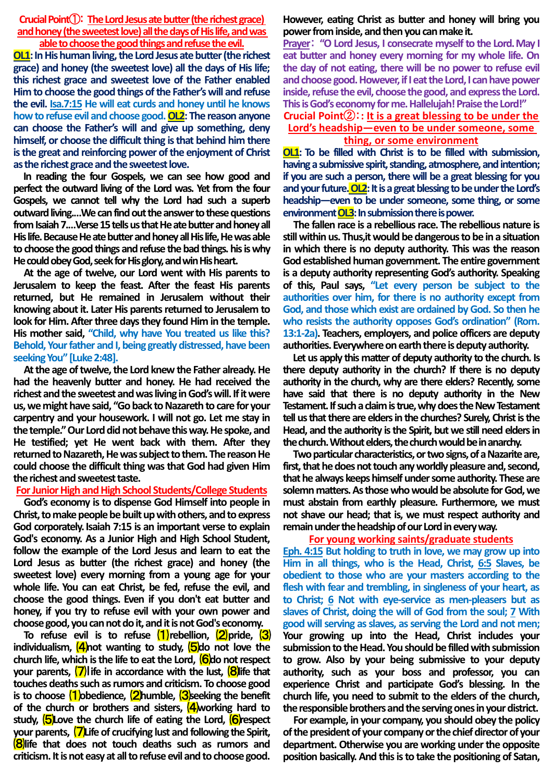**CrucialPoint**①:**The Lord Jesus ate butter (the richest grace) and honey (the sweetest love) all the days of His life, and was able to choose the good things and refuse the evil.**

**OL1:** In His human living, the Lord Jesus ate butter (the richest **grace) and honey (the sweetest love) all the days of His life; this richest grace and sweetest love of the Father enabled Him to choose the good things of the Father's will and refuse the evil. Isa.7:15 He will eat curds and honey until he knows how to refuse evil and choose good. OL2: The reason anyone can choose the Father's will and give up something, deny himself, or choose the difficult thing is that behind him there is the great and reinforcing power of the enjoyment of Christ as the richest grace and the sweetest love.**

**In reading the four Gospels, we can see how good and perfect the outward living of the Lord was. Yet from the four Gospels, we cannot tell why the Lord had such a superb outward living.…We can find out the answer to these questions from Isaiah 7.…Verse 15 tells us that He ate butter and honey all His life. Because He ate butter and honey all His life, He was able to choose the good things and refuse the bad things. his is why He could obey God, seek for His glory, and win His heart.**

**At the age of twelve, our Lord went with His parents to Jerusalem to keep the feast. After the feast His parents returned, but He remained in Jerusalem without their**  knowing about it. Later His parents returned to Jerusalem to **look for Him. After three days they found Him in the temple. His mother said, "Child, why have You treated us like this? Behold, Your father and I, being greatly distressed, have been seeking You" [Luke 2:48].**

**At the age of twelve, the Lord knew the Father already. He had the heavenly butter and honey. He had received the richest and the sweetest and was living in God's will. If it were us, we might have said, "Go back to Nazareth to care for your carpentry and your housework. I will not go. Let me stay in the temple." Our Lord did not behave this way. He spoke, and He testified; yet He went back with them. After they returned to Nazareth, He was subject to them. The reason He could choose the difficult thing was that God had given Him the richest and sweetest taste.**

## **For Junior High and High School Students/College Students**

**God's economy is to dispense God Himself into people in Christ, to make people be built up with others, and to express**  God corporately. Isaiah 7:15 is an important verse to explain **God's economy. As a Junior High and High School Student, follow the example of the Lord Jesus and learn to eat the Lord Jesus as butter (the richest grace) and honey (the sweetest love) every morning from a young age for your whole life. You can eat Christ, be fed, refuse the evil, and choose the good things. Even if you don't eat butter and honey, if you try to refuse evil with your own power and choose good, you can not do it, and it is not God's economy.**

**To refuse evil is to refuse** ⑴**rebellion,** ⑵**pride,** ⑶ **individualism,**  $\frac{4}{100}$  **hot wanting to study,**  $\frac{5}{100}$  **not love the church life, which is the life to eat the Lord,** ⑹**do not respect your parents,**  $\overline{7}$  ife in accordance with the lust,  $\overline{8}$  life that **touches deaths such as rumors and criticism. To choose good is to choose** ⑴**obedience,** ⑵**humble,** ⑶**seeking the benefit**  of the church or brothers and sisters, **4** working hard to **study,**  $\overline{\mathbf{S}}$  **Love the church life of eating the Lord,**  $\overline{\mathbf{S}}$  **respect your parents,** ⑺**Life of crucifying lust and following the Spirit,**  ⑻**life that does not touch deaths such as rumors and criticism. It is not easy at all to refuse evil and to choose good.** 

## **However, eating Christ as butter and honey will bring you power from inside, and then you can make it.**

**Prayer**: **"O Lord Jesus, I consecrate myself to the Lord.May I eat butter and honey every morning for my whole life. On the day of not eating, there will be no power to refuse evil and choose good.However, if I eat the Lord, I can have power inside, refuse the evil, choose the good, and express the Lord. This is God's economy for me. Hallelujah! Praise the Lord!"**

**Crucial Point**②:**: It is a great blessing to be under the Lord's headship—even to be under someone, some** 

# **thing, or some environment**

**OL1: To be filled with Christ is to be filled with submission, having a submissivespirit, standing, atmosphere, and intention; if you are such a person, there will be a great blessing for you and your future.OL2:It is a great blessing to be under the Lord's headship—even to be under someone, some thing, or some**  environment OL3: In submission there is power.

**The fallen race is a rebellious race. The rebellious nature is still within us. Thus,it would be dangerous to be in a situation in which there is no deputy authority. This was the reason God established human government. The entire government is a deputy authority representing God's authority. Speaking of this, Paul says, "Let every person be subject to the authorities over him, for there is no authority except from God, and those which exist are ordained by God. So then he who resists the authority opposes God's ordination" (Rom. 13:1-2a). Teachers, employers, and police officers are deputy authorities. Everywhere on earth thereis deputy authority.**

**Let us apply this matter of deputy authority to the church. Is there deputy authority in the church? If there is no deputy authority in the church, why are there elders? Recently, some have said that there is no deputy authority in the New Testament. If such a claim is true, why does the New Testament**  tell us that there are elders in the churches? Surely, Christ is the **Head, and the authority isthe Spirit, but we still need elders in**  the church. Without elders, the church would be in anarchy.

**Two particular characteristics, or two signs, of a Nazarite are,**  first, that he does not touch any worldly pleasure and, second, **that he always keeps himself under some authority. These are**  solemn matters. As those who would be absolute for God, we **must abstain from earthly pleasure. Furthermore, we must not shave our head; that is, we must respect authority and**  remain under the headship of our Lord in every way.

#### **For young working saints/graduate students**

**Eph. 4:15 But holding to truth in love, we may grow up into Him in all things, who is the Head, Christ, 6:5 Slaves, be obedient to those who are your masters according to the flesh with fear and trembling, in singleness of your heart, as to Christ; 6 Not with eye-service as men-pleasers but as slaves of Christ, doing the will of God from the soul; 7 With good will serving as slaves, as serving the Lord and not men; Your growing up into the Head, Christ includes your submission to the Head. You should be filled with submission to grow. Also by your being submissive to your deputy authority, such as your boss and professor, you can experience Christ and participate God's blessing. In the church life, you need to submit to the elders of the church, the responsible brothers and the serving ones in your district.** 

**For example, in your company, you should obey the policy**  of the president of your company or the chief director of your **department. Otherwise you are working under the opposite position basically. And this is to take the positioning of Satan,**